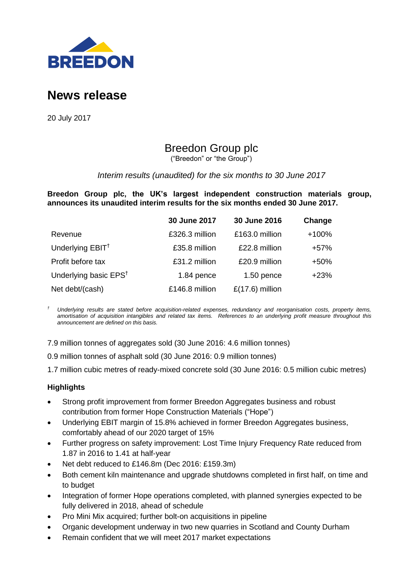

# **News release**

20 July 2017

# Breedon Group plc

("Breedon" or "the Group")

# *Interim results (unaudited) for the six months to 30 June 2017*

**Breedon Group plc, the UK's largest independent construction materials group, announces its unaudited interim results for the six months ended 30 June 2017.**

|                                   | 30 June 2017   | 30 June 2016      | Change  |
|-----------------------------------|----------------|-------------------|---------|
| Revenue                           | £326.3 million | £163.0 million    | $+100%$ |
| Underlying EBIT <sup>+</sup>      | £35.8 million  | £22.8 million     | +57%    |
| Profit before tax                 | £31.2 million  | £20.9 million     | $+50%$  |
| Underlying basic EPS <sup>t</sup> | 1.84 pence     | $1.50$ pence      | $+23%$  |
| Net debt/(cash)                   | £146.8 million | $£(17.6)$ million |         |

*† Underlying results are stated before acquisition-related expenses, redundancy and reorganisation costs, property items, amortisation of acquisition intangibles and related tax items. References to an underlying profit measure throughout this announcement are defined on this basis.*

7.9 million tonnes of aggregates sold (30 June 2016: 4.6 million tonnes)

0.9 million tonnes of asphalt sold (30 June 2016: 0.9 million tonnes)

1.7 million cubic metres of ready-mixed concrete sold (30 June 2016: 0.5 million cubic metres)

# **Highlights**

- Strong profit improvement from former Breedon Aggregates business and robust contribution from former Hope Construction Materials ("Hope")
- Underlying EBIT margin of 15.8% achieved in former Breedon Aggregates business, comfortably ahead of our 2020 target of 15%
- Further progress on safety improvement: Lost Time Injury Frequency Rate reduced from 1.87 in 2016 to 1.41 at half-year
- Net debt reduced to £146.8m (Dec 2016: £159.3m)
- Both cement kiln maintenance and upgrade shutdowns completed in first half, on time and to budget
- Integration of former Hope operations completed, with planned synergies expected to be fully delivered in 2018, ahead of schedule
- Pro Mini Mix acquired; further bolt-on acquisitions in pipeline
- Organic development underway in two new quarries in Scotland and County Durham
- Remain confident that we will meet 2017 market expectations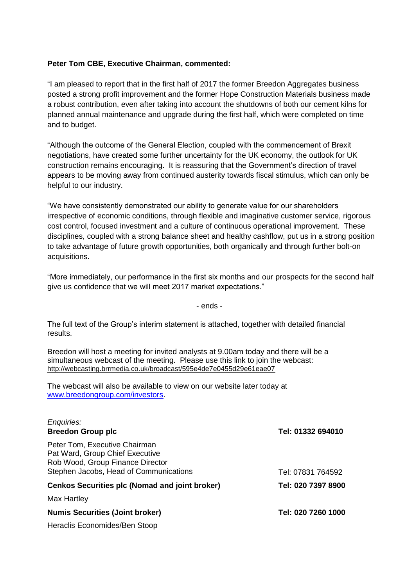# **Peter Tom CBE, Executive Chairman, commented:**

"I am pleased to report that in the first half of 2017 the former Breedon Aggregates business posted a strong profit improvement and the former Hope Construction Materials business made a robust contribution, even after taking into account the shutdowns of both our cement kilns for planned annual maintenance and upgrade during the first half, which were completed on time and to budget.

"Although the outcome of the General Election, coupled with the commencement of Brexit negotiations, have created some further uncertainty for the UK economy, the outlook for UK construction remains encouraging. It is reassuring that the Government's direction of travel appears to be moving away from continued austerity towards fiscal stimulus, which can only be helpful to our industry.

"We have consistently demonstrated our ability to generate value for our shareholders irrespective of economic conditions, through flexible and imaginative customer service, rigorous cost control, focused investment and a culture of continuous operational improvement. These disciplines, coupled with a strong balance sheet and healthy cashflow, put us in a strong position to take advantage of future growth opportunities, both organically and through further bolt-on acquisitions.

"More immediately, our performance in the first six months and our prospects for the second half give us confidence that we will meet 2017 market expectations."

- ends -

The full text of the Group's interim statement is attached, together with detailed financial results.

Breedon will host a meeting for invited analysts at 9.00am today and there will be a simultaneous webcast of the meeting. Please use this link to join the webcast: <http://webcasting.brrmedia.co.uk/broadcast/595e4de7e0455d29e61eae07>

The webcast will also be available to view on our website later today at [www.breedongroup.com/investors.](http://www.breedongroup.com/investors)

| Enquiries:<br><b>Breedon Group plc</b>                                                                                                         | Tel: 01332 694010  |
|------------------------------------------------------------------------------------------------------------------------------------------------|--------------------|
| Peter Tom, Executive Chairman<br>Pat Ward, Group Chief Executive<br>Rob Wood, Group Finance Director<br>Stephen Jacobs, Head of Communications | Tel: 07831 764592  |
| <b>Cenkos Securities plc (Nomad and joint broker)</b>                                                                                          | Tel: 020 7397 8900 |
| Max Hartley                                                                                                                                    |                    |
| <b>Numis Securities (Joint broker)</b>                                                                                                         | Tel: 020 7260 1000 |
| Heraclis Economides/Ben Stoop                                                                                                                  |                    |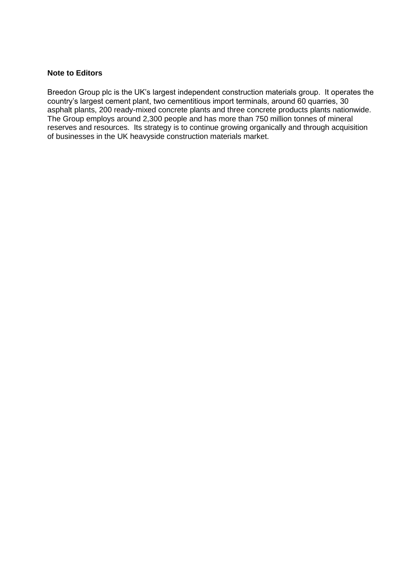# **Note to Editors**

Breedon Group plc is the UK's largest independent construction materials group. It operates the country's largest cement plant, two cementitious import terminals, around 60 quarries, 30 asphalt plants, 200 ready-mixed concrete plants and three concrete products plants nationwide. The Group employs around 2,300 people and has more than 750 million tonnes of mineral reserves and resources. Its strategy is to continue growing organically and through acquisition of businesses in the UK heavyside construction materials market.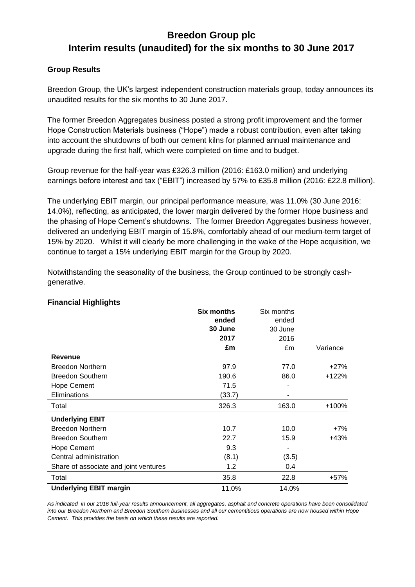# **Group Results**

Breedon Group, the UK's largest independent construction materials group, today announces its unaudited results for the six months to 30 June 2017.

The former Breedon Aggregates business posted a strong profit improvement and the former Hope Construction Materials business ("Hope") made a robust contribution, even after taking into account the shutdowns of both our cement kilns for planned annual maintenance and upgrade during the first half, which were completed on time and to budget.

Group revenue for the half-year was £326.3 million (2016: £163.0 million) and underlying earnings before interest and tax ("EBIT") increased by 57% to £35.8 million (2016: £22.8 million).

The underlying EBIT margin, our principal performance measure, was 11.0% (30 June 2016: 14.0%), reflecting, as anticipated, the lower margin delivered by the former Hope business and the phasing of Hope Cement's shutdowns. The former Breedon Aggregates business however, delivered an underlying EBIT margin of 15.8%, comfortably ahead of our medium-term target of 15% by 2020. Whilst it will clearly be more challenging in the wake of the Hope acquisition, we continue to target a 15% underlying EBIT margin for the Group by 2020.

| manuar myninginə                      |                   |            |          |
|---------------------------------------|-------------------|------------|----------|
|                                       | <b>Six months</b> | Six months |          |
|                                       | ended             | ended      |          |
|                                       | 30 June           | 30 June    |          |
|                                       | 2017              | 2016       |          |
|                                       | £m                | £m         | Variance |
| <b>Revenue</b>                        |                   |            |          |
| <b>Breedon Northern</b>               | 97.9              | 77.0       | $+27%$   |
| <b>Breedon Southern</b>               | 190.6             | 86.0       | $+122%$  |
| <b>Hope Cement</b>                    | 71.5              |            |          |
| Eliminations                          | (33.7)            |            |          |
| Total                                 | 326.3             | 163.0      | +100%    |
| <b>Underlying EBIT</b>                |                   |            |          |
| <b>Breedon Northern</b>               | 10.7              | 10.0       | $+7%$    |
| <b>Breedon Southern</b>               | 22.7              | 15.9       | $+43%$   |
| <b>Hope Cement</b>                    | 9.3               |            |          |
| Central administration                | (8.1)             | (3.5)      |          |
| Share of associate and joint ventures | 1.2               | 0.4        |          |
| Total                                 | 35.8              | 22.8       | $+57%$   |
| <b>Underlying EBIT margin</b>         | 11.0%             | 14.0%      |          |

Notwithstanding the seasonality of the business, the Group continued to be strongly cashgenerative.

# **Financial Highlights**

*As indicated in our 2016 full-year results announcement, all aggregates, asphalt and concrete operations have been consolidated into our Breedon Northern and Breedon Southern businesses and all our cementitious operations are now housed within Hope Cement. This provides the basis on which these results are reported.*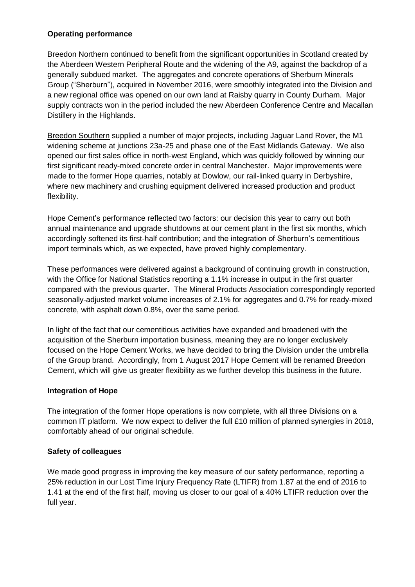# **Operating performance**

Breedon Northern continued to benefit from the significant opportunities in Scotland created by the Aberdeen Western Peripheral Route and the widening of the A9, against the backdrop of a generally subdued market. The aggregates and concrete operations of Sherburn Minerals Group ("Sherburn"), acquired in November 2016, were smoothly integrated into the Division and a new regional office was opened on our own land at Raisby quarry in County Durham. Major supply contracts won in the period included the new Aberdeen Conference Centre and Macallan Distillery in the Highlands.

Breedon Southern supplied a number of major projects, including Jaguar Land Rover, the M1 widening scheme at junctions 23a-25 and phase one of the East Midlands Gateway. We also opened our first sales office in north-west England, which was quickly followed by winning our first significant ready-mixed concrete order in central Manchester. Major improvements were made to the former Hope quarries, notably at Dowlow, our rail-linked quarry in Derbyshire, where new machinery and crushing equipment delivered increased production and product flexibility.

Hope Cement's performance reflected two factors: our decision this year to carry out both annual maintenance and upgrade shutdowns at our cement plant in the first six months, which accordingly softened its first-half contribution; and the integration of Sherburn's cementitious import terminals which, as we expected, have proved highly complementary.

These performances were delivered against a background of continuing growth in construction, with the Office for National Statistics reporting a 1.1% increase in output in the first quarter compared with the previous quarter. The Mineral Products Association correspondingly reported seasonally-adjusted market volume increases of 2.1% for aggregates and 0.7% for ready-mixed concrete, with asphalt down 0.8%, over the same period.

In light of the fact that our cementitious activities have expanded and broadened with the acquisition of the Sherburn importation business, meaning they are no longer exclusively focused on the Hope Cement Works, we have decided to bring the Division under the umbrella of the Group brand. Accordingly, from 1 August 2017 Hope Cement will be renamed Breedon Cement, which will give us greater flexibility as we further develop this business in the future.

# **Integration of Hope**

The integration of the former Hope operations is now complete, with all three Divisions on a common IT platform. We now expect to deliver the full £10 million of planned synergies in 2018, comfortably ahead of our original schedule.

# **Safety of colleagues**

We made good progress in improving the key measure of our safety performance, reporting a 25% reduction in our Lost Time Injury Frequency Rate (LTIFR) from 1.87 at the end of 2016 to 1.41 at the end of the first half, moving us closer to our goal of a 40% LTIFR reduction over the full year.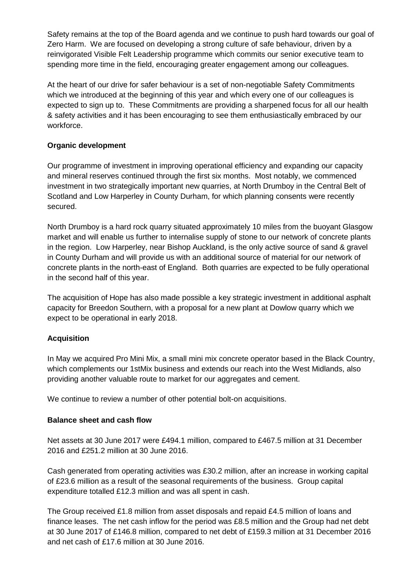Safety remains at the top of the Board agenda and we continue to push hard towards our goal of Zero Harm. We are focused on developing a strong culture of safe behaviour, driven by a reinvigorated Visible Felt Leadership programme which commits our senior executive team to spending more time in the field, encouraging greater engagement among our colleagues.

At the heart of our drive for safer behaviour is a set of non-negotiable Safety Commitments which we introduced at the beginning of this year and which every one of our colleagues is expected to sign up to. These Commitments are providing a sharpened focus for all our health & safety activities and it has been encouraging to see them enthusiastically embraced by our workforce.

# **Organic development**

Our programme of investment in improving operational efficiency and expanding our capacity and mineral reserves continued through the first six months. Most notably, we commenced investment in two strategically important new quarries, at North Drumboy in the Central Belt of Scotland and Low Harperley in County Durham, for which planning consents were recently secured.

North Drumboy is a hard rock quarry situated approximately 10 miles from the buoyant Glasgow market and will enable us further to internalise supply of stone to our network of concrete plants in the region. Low Harperley, near Bishop Auckland, is the only active source of sand & gravel in County Durham and will provide us with an additional source of material for our network of concrete plants in the north-east of England. Both quarries are expected to be fully operational in the second half of this year.

The acquisition of Hope has also made possible a key strategic investment in additional asphalt capacity for Breedon Southern, with a proposal for a new plant at Dowlow quarry which we expect to be operational in early 2018.

# **Acquisition**

In May we acquired Pro Mini Mix, a small mini mix concrete operator based in the Black Country, which complements our 1stMix business and extends our reach into the West Midlands, also providing another valuable route to market for our aggregates and cement.

We continue to review a number of other potential bolt-on acquisitions.

# **Balance sheet and cash flow**

Net assets at 30 June 2017 were £494.1 million, compared to £467.5 million at 31 December 2016 and £251.2 million at 30 June 2016.

Cash generated from operating activities was £30.2 million, after an increase in working capital of £23.6 million as a result of the seasonal requirements of the business. Group capital expenditure totalled £12.3 million and was all spent in cash.

The Group received £1.8 million from asset disposals and repaid £4.5 million of loans and finance leases. The net cash inflow for the period was £8.5 million and the Group had net debt at 30 June 2017 of £146.8 million, compared to net debt of £159.3 million at 31 December 2016 and net cash of £17.6 million at 30 June 2016.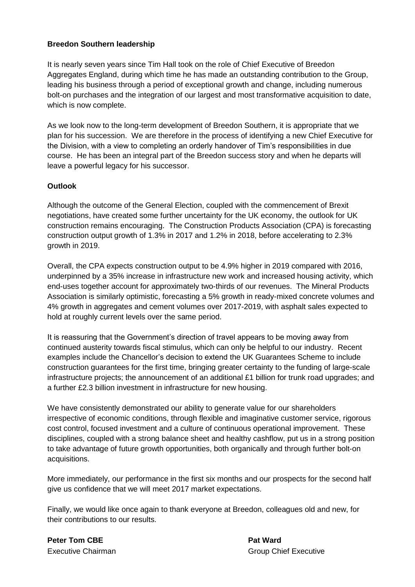# **Breedon Southern leadership**

It is nearly seven years since Tim Hall took on the role of Chief Executive of Breedon Aggregates England, during which time he has made an outstanding contribution to the Group, leading his business through a period of exceptional growth and change, including numerous bolt-on purchases and the integration of our largest and most transformative acquisition to date, which is now complete.

As we look now to the long-term development of Breedon Southern, it is appropriate that we plan for his succession. We are therefore in the process of identifying a new Chief Executive for the Division, with a view to completing an orderly handover of Tim's responsibilities in due course. He has been an integral part of the Breedon success story and when he departs will leave a powerful legacy for his successor.

# **Outlook**

Although the outcome of the General Election, coupled with the commencement of Brexit negotiations, have created some further uncertainty for the UK economy, the outlook for UK construction remains encouraging. The Construction Products Association (CPA) is forecasting construction output growth of 1.3% in 2017 and 1.2% in 2018, before accelerating to 2.3% growth in 2019.

Overall, the CPA expects construction output to be 4.9% higher in 2019 compared with 2016, underpinned by a 35% increase in infrastructure new work and increased housing activity, which end-uses together account for approximately two-thirds of our revenues. The Mineral Products Association is similarly optimistic, forecasting a 5% growth in ready-mixed concrete volumes and 4% growth in aggregates and cement volumes over 2017-2019, with asphalt sales expected to hold at roughly current levels over the same period.

It is reassuring that the Government's direction of travel appears to be moving away from continued austerity towards fiscal stimulus, which can only be helpful to our industry. Recent examples include the Chancellor's decision to extend the UK Guarantees Scheme to include construction guarantees for the first time, bringing greater certainty to the funding of large-scale infrastructure projects; the announcement of an additional £1 billion for trunk road upgrades; and a further £2.3 billion investment in infrastructure for new housing.

We have consistently demonstrated our ability to generate value for our shareholders irrespective of economic conditions, through flexible and imaginative customer service, rigorous cost control, focused investment and a culture of continuous operational improvement. These disciplines, coupled with a strong balance sheet and healthy cashflow, put us in a strong position to take advantage of future growth opportunities, both organically and through further bolt-on acquisitions.

More immediately, our performance in the first six months and our prospects for the second half give us confidence that we will meet 2017 market expectations.

Finally, we would like once again to thank everyone at Breedon, colleagues old and new, for their contributions to our results.

**Peter Tom CBE Pat Ward**

Executive Chairman Group Chief Executive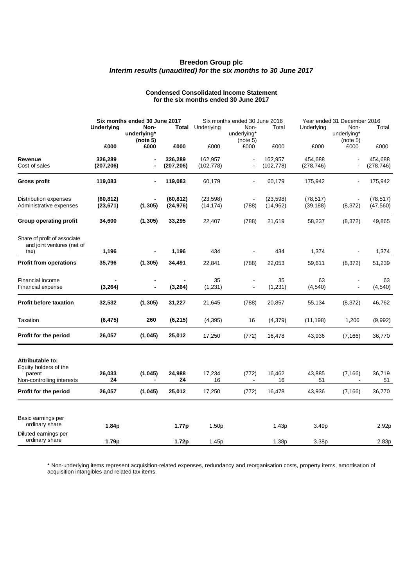#### **Condensed Consolidated Income Statement for the six months ended 30 June 2017**

|                                                                                  | Six months ended 30 June 2017 |                                 |                        | Six months ended 30 June 2016 |                                 |                        | Year ended 31 December 2016 |                                 |                        |
|----------------------------------------------------------------------------------|-------------------------------|---------------------------------|------------------------|-------------------------------|---------------------------------|------------------------|-----------------------------|---------------------------------|------------------------|
|                                                                                  | <b>Underlying</b>             | Non-<br>underlying*<br>(note 5) | <b>Total</b>           | Underlying                    | Non-<br>underlying*<br>(note 5) | Total                  | Underlying                  | Non-<br>underlying*<br>(note 5) | Total                  |
|                                                                                  | £000                          | £000                            | £000                   | £000                          | £000                            | £000                   | £000                        | £000                            | £000                   |
| Revenue<br>Cost of sales                                                         | 326,289<br>(207, 206)         | $\blacksquare$                  | 326,289<br>(207, 206)  | 162,957<br>(102, 778)         |                                 | 162,957<br>(102, 778)  | 454,688<br>(278, 746)       |                                 | 454,688<br>(278, 746)  |
| <b>Gross profit</b>                                                              | 119,083                       |                                 | 119,083                | 60,179                        |                                 | 60,179                 | 175,942                     |                                 | 175,942                |
| Distribution expenses<br>Administrative expenses                                 | (60, 812)<br>(23, 671)        | (1, 305)                        | (60, 812)<br>(24, 976) | (23, 598)<br>(14, 174)        | $\blacksquare$<br>(788)         | (23, 598)<br>(14, 962) | (78, 517)<br>(39, 188)      | (8, 372)                        | (78, 517)<br>(47, 560) |
| <b>Group operating profit</b>                                                    | 34,600                        | (1, 305)                        | 33,295                 | 22,407                        | (788)                           | 21,619                 | 58,237                      | (8, 372)                        | 49,865                 |
| Share of profit of associate<br>and joint ventures (net of                       |                               |                                 |                        |                               |                                 |                        |                             |                                 |                        |
| tax)                                                                             | 1,196                         | $\blacksquare$                  | 1,196                  | 434                           | $\blacksquare$                  | 434                    | 1,374                       | $\blacksquare$                  | 1,374                  |
| <b>Profit from operations</b>                                                    | 35,796                        | (1, 305)                        | 34,491                 | 22,841                        | (788)                           | 22,053                 | 59,611                      | (8, 372)                        | 51,239                 |
| Financial income<br>Financial expense                                            | (3, 264)                      | $\blacksquare$                  | (3, 264)               | 35<br>(1, 231)                |                                 | 35<br>(1, 231)         | 63<br>(4, 540)              |                                 | 63<br>(4, 540)         |
| <b>Profit before taxation</b>                                                    | 32,532                        | (1, 305)                        | 31,227                 | 21,645                        | (788)                           | 20,857                 | 55,134                      | (8, 372)                        | 46,762                 |
| Taxation                                                                         | (6, 475)                      | 260                             | (6, 215)               | (4, 395)                      | 16                              | (4,379)                | (11, 198)                   | 1,206                           | (9,992)                |
| Profit for the period                                                            | 26,057                        | (1,045)                         | 25,012                 | 17,250                        | (772)                           | 16,478                 | 43,936                      | (7, 166)                        | 36,770                 |
| Attributable to:<br>Equity holders of the<br>parent<br>Non-controlling interests | 26,033<br>24                  | (1,045)<br>$\blacksquare$       | 24,988<br>24           | 17,234<br>16                  | (772)<br>$\blacksquare$         | 16,462<br>16           | 43,885<br>51                | (7, 166)<br>$\blacksquare$      | 36,719<br>51           |
| Profit for the period                                                            | 26,057                        | (1,045)                         | 25,012                 | 17,250                        | (772)                           | 16,478                 | 43,936                      | (7, 166)                        | 36,770                 |
| Basic earnings per<br>ordinary share                                             | 1.84p                         |                                 | 1.77p                  | 1.50 <sub>p</sub>             |                                 | 1.43p                  | 3.49p                       |                                 | 2.92p                  |
| Diluted earnings per<br>ordinary share                                           | 1.79p                         |                                 | 1.72p                  | 1.45p                         |                                 | 1.38p                  | 3.38p                       |                                 | 2.83p                  |

\* Non-underlying items represent acquisition-related expenses, redundancy and reorganisation costs, property items, amortisation of acquisition intangibles and related tax items.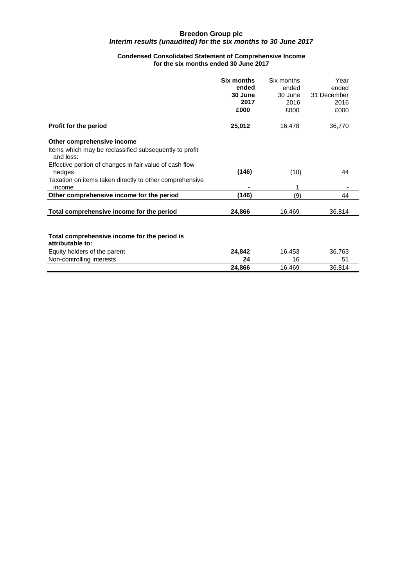### **Condensed Consolidated Statement of Comprehensive Income for the six months ended 30 June 2017**

|                                                                     | <b>Six months</b><br>ended<br>30 June<br>2017<br>£000 | Six months<br>ended<br>30 June<br>2016<br>£000 | Year<br>ended<br>31 December<br>2016<br>£000 |
|---------------------------------------------------------------------|-------------------------------------------------------|------------------------------------------------|----------------------------------------------|
| Profit for the period                                               | 25,012                                                | 16,478                                         | 36,770                                       |
| Other comprehensive income                                          |                                                       |                                                |                                              |
| Items which may be reclassified subsequently to profit<br>and loss: |                                                       |                                                |                                              |
| Effective portion of changes in fair value of cash flow<br>hedges   | (146)                                                 | (10)                                           | 44                                           |
| Taxation on items taken directly to other comprehensive<br>income   |                                                       | 1                                              |                                              |
| Other comprehensive income for the period                           | (146)                                                 | (9)                                            | 44                                           |
| Total comprehensive income for the period                           | 24,866                                                | 16,469                                         | 36,814                                       |
| Total comprehensive income for the period is<br>attributable to:    |                                                       |                                                |                                              |
| Equity holders of the parent                                        | 24,842                                                | 16,453                                         | 36,763                                       |
| Non-controlling interests                                           | 24                                                    | 16                                             | 51                                           |
|                                                                     | 24,866                                                | 16,469                                         | 36,814                                       |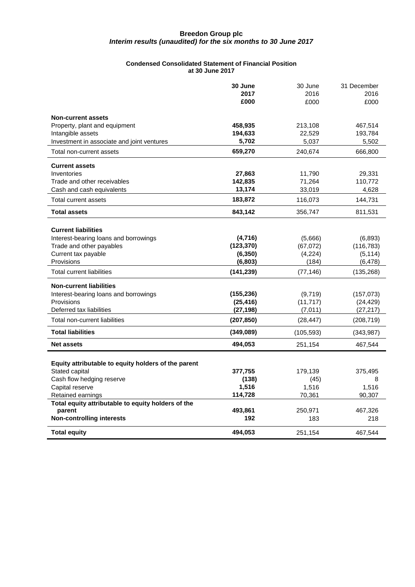#### **Condensed Consolidated Statement of Financial Position at 30 June 2017**

|                                                     | 30 June               | 30 June             | 31 December            |
|-----------------------------------------------------|-----------------------|---------------------|------------------------|
|                                                     | 2017                  | 2016                | 2016                   |
|                                                     | £000                  | £000                | £000                   |
| <b>Non-current assets</b>                           |                       |                     |                        |
| Property, plant and equipment                       | 458,935               | 213,108             | 467,514                |
| Intangible assets                                   | 194,633               | 22,529              | 193,784                |
| Investment in associate and joint ventures          | 5,702                 | 5,037               | 5,502                  |
| Total non-current assets                            | 659,270               | 240,674             | 666,800                |
| <b>Current assets</b>                               |                       |                     |                        |
| Inventories                                         | 27,863                | 11,790              | 29,331                 |
| Trade and other receivables                         | 142,835               | 71,264              | 110,772                |
| Cash and cash equivalents                           | 13,174                | 33,019              | 4,628                  |
| Total current assets                                | 183,872               | 116,073             | 144,731                |
| <b>Total assets</b>                                 | 843,142               | 356,747             | 811,531                |
|                                                     |                       |                     |                        |
| <b>Current liabilities</b>                          |                       |                     |                        |
| Interest-bearing loans and borrowings               | (4,716)<br>(123, 370) | (5,666)             | (6,893)                |
| Trade and other payables<br>Current tax payable     | (6, 350)              | (67,072)<br>(4,224) | (116, 783)<br>(5, 114) |
| Provisions                                          | (6,803)               | (184)               | (6, 478)               |
| <b>Total current liabilities</b>                    | (141, 239)            | (77, 146)           | (135, 268)             |
| <b>Non-current liabilities</b>                      |                       |                     |                        |
| Interest-bearing loans and borrowings               | (155,236)             | (9,719)             | (157,073)              |
| Provisions                                          | (25, 416)             | (11, 717)           | (24, 429)              |
| Deferred tax liabilities                            | (27, 198)             | (7,011)             | (27, 217)              |
| Total non-current liabilities                       | (207, 850)            | (28, 447)           | (208, 719)             |
| <b>Total liabilities</b>                            | (349,089)             | (105, 593)          | (343, 987)             |
| <b>Net assets</b>                                   | 494,053               | 251,154             | 467,544                |
|                                                     |                       |                     |                        |
| Equity attributable to equity holders of the parent |                       |                     |                        |
| Stated capital                                      | 377,755               | 179,139             | 375,495                |
| Cash flow hedging reserve                           | (138)                 | (45)                | 8                      |
| Capital reserve                                     | 1,516                 | 1,516               | 1,516                  |
| Retained earnings                                   | 114,728               | 70,361              | 90,307                 |
| Total equity attributable to equity holders of the  | 493,861               |                     |                        |
| parent<br><b>Non-controlling interests</b>          | 192                   | 250,971<br>183      | 467,326<br>218         |
|                                                     |                       |                     |                        |
| <b>Total equity</b>                                 | 494,053               | 251,154             | 467,544                |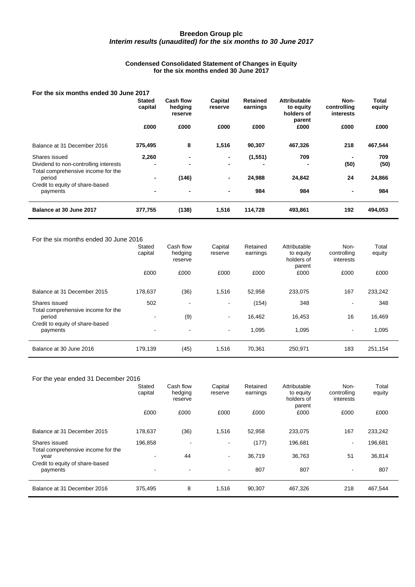#### **Condensed Consolidated Statement of Changes in Equity for the six months ended 30 June 2017**

### **For the six months ended 30 June 2017**

|                                              | <b>Stated</b><br>capital | Cash flow<br>hedging<br>reserve | Capital<br>reserve | Retained<br>earnings | <b>Attributable</b><br>to equity<br>holders of<br>parent | Non-<br>controlling<br>interests | <b>Total</b><br>equity |
|----------------------------------------------|--------------------------|---------------------------------|--------------------|----------------------|----------------------------------------------------------|----------------------------------|------------------------|
|                                              | £000                     | £000                            | £000               | £000                 | £000                                                     | £000                             | £000                   |
| Balance at 31 December 2016                  | 375,495                  | 8                               | 1,516              | 90,307               | 467,326                                                  | 218                              | 467,544                |
| Shares issued                                | 2,260                    | $\blacksquare$                  | ٠                  | (1, 551)             | 709                                                      |                                  | 709                    |
| Dividend to non-controlling interests        |                          | $\overline{\phantom{0}}$        | ٠                  |                      | ٠                                                        | (50)                             | (50)                   |
| Total comprehensive income for the<br>period | -                        | (146)                           | $\blacksquare$     | 24,988               | 24,842                                                   | 24                               | 24,866                 |
| Credit to equity of share-based<br>payments  | -                        | $\blacksquare$                  | $\blacksquare$     | 984                  | 984                                                      | $\blacksquare$                   | 984                    |
| Balance at 30 June 2017                      | 377,755                  | (138)                           | 1,516              | 114.728              | 493.861                                                  | 192                              | 494,053                |

#### For the six months ended 30 June 2016

|                                                     | Stated<br>capital | Cash flow<br>hedging<br>reserve | Capital<br>reserve       | Retained<br>earnings | Attributable<br>to equity<br>holders of<br>parent | Non-<br>controlling<br>interests | Total<br>equity |
|-----------------------------------------------------|-------------------|---------------------------------|--------------------------|----------------------|---------------------------------------------------|----------------------------------|-----------------|
|                                                     | £000              | £000                            | £000                     | £000                 | £000                                              | £000                             | £000            |
| Balance at 31 December 2015                         | 178,637           | (36)                            | 1,516                    | 52,958               | 233,075                                           | 167                              | 233,242         |
| Shares issued<br>Total comprehensive income for the | 502               | $\overline{\phantom{a}}$        | $\overline{\phantom{a}}$ | (154)                | 348                                               | $\overline{\phantom{a}}$         | 348             |
| period                                              |                   | (9)                             | $\blacksquare$           | 16,462               | 16,453                                            | 16                               | 16,469          |
| Credit to equity of share-based<br>payments         | ۰                 | $\blacksquare$                  | $\overline{\phantom{a}}$ | 1,095                | 1,095                                             | $\sim$                           | 1,095           |
| Balance at 30 June 2016                             | 179,139           | (45)                            | 1,516                    | 70,361               | 250,971                                           | 183                              | 251,154         |

### For the year ended 31 December 2016

|                                                     | Stated<br>capital | Cash flow<br>hedging<br>reserve | Capital<br>reserve       | Retained<br>earnings | Attributable<br>to equity<br>holders of<br>parent | Non-<br>controlling<br>interests | Total<br>equity |
|-----------------------------------------------------|-------------------|---------------------------------|--------------------------|----------------------|---------------------------------------------------|----------------------------------|-----------------|
|                                                     | £000              | £000                            | £000                     | £000                 | £000                                              | £000                             | £000            |
| Balance at 31 December 2015                         | 178,637           | (36)                            | 1,516                    | 52,958               | 233,075                                           | 167                              | 233,242         |
| Shares issued<br>Total comprehensive income for the | 196,858           | $\,$                            | $\overline{\phantom{a}}$ | (177)                | 196,681                                           | $\blacksquare$                   | 196,681         |
| year                                                |                   | 44                              | $\overline{\phantom{a}}$ | 36,719               | 36,763                                            | 51                               | 36,814          |
| Credit to equity of share-based<br>payments         | ۰                 | $\blacksquare$                  | $\overline{\phantom{a}}$ | 807                  | 807                                               | $\sim$                           | 807             |
| Balance at 31 December 2016                         | 375,495           | 8                               | 1,516                    | 90,307               | 467,326                                           | 218                              | 467,544         |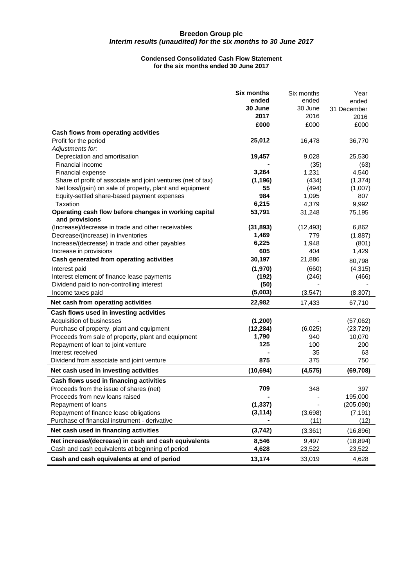#### **Condensed Consolidated Cash Flow Statement for the six months ended 30 June 2017**

|                                                              | <b>Six months</b> | Six months      | Year        |
|--------------------------------------------------------------|-------------------|-----------------|-------------|
|                                                              | ended<br>30 June  | ended           | ended       |
|                                                              | 2017              | 30 June<br>2016 | 31 December |
|                                                              | £000              |                 | 2016        |
| Cash flows from operating activities                         |                   | £000            | £000        |
| Profit for the period                                        | 25,012            | 16,478          | 36,770      |
| Adjustments for:                                             |                   |                 |             |
| Depreciation and amortisation                                | 19,457            | 9,028           | 25,530      |
| Financial income                                             |                   | (35)            | (63)        |
| Financial expense                                            | 3,264             | 1,231           | 4,540       |
| Share of profit of associate and joint ventures (net of tax) | (1, 196)          | (434)           | (1, 374)    |
| Net loss/(gain) on sale of property, plant and equipment     | 55                | (494)           | (1,007)     |
| Equity-settled share-based payment expenses                  | 984               | 1,095           | 807         |
| Taxation                                                     | 6,215             | 4,379           | 9,992       |
| Operating cash flow before changes in working capital        | 53,791            | 31,248          | 75,195      |
| and provisions                                               |                   |                 |             |
| (Increase)/decrease in trade and other receivables           | (31, 893)         | (12, 493)       | 6,862       |
| Decrease/(increase) in inventories                           | 1,469             | 779             | (1,887)     |
| Increase/(decrease) in trade and other payables              | 6,225             | 1,948           | (801)       |
| Increase in provisions                                       | 605               | 404             | 1,429       |
| Cash generated from operating activities                     | 30,197            | 21,886          | 80,798      |
| Interest paid                                                | (1,970)           | (660)           | (4, 315)    |
| Interest element of finance lease payments                   | (192)             | (246)           | (466)       |
| Dividend paid to non-controlling interest                    | (50)              |                 |             |
| Income taxes paid                                            | (5,003)           | (3, 547)        | (8, 307)    |
| Net cash from operating activities                           | 22,982            | 17,433          | 67,710      |
| Cash flows used in investing activities                      |                   |                 |             |
| Acquisition of businesses                                    | (1, 200)          |                 | (57,062)    |
| Purchase of property, plant and equipment                    | (12, 284)         | (6,025)         | (23, 729)   |
| Proceeds from sale of property, plant and equipment          | 1,790             | 940             | 10,070      |
| Repayment of loan to joint venture                           | 125               | 100             | 200         |
| Interest received                                            |                   | 35              | 63          |
| Dividend from associate and joint venture                    | 875               | 375             | 750         |
| Net cash used in investing activities                        | (10, 694)         | (4, 575)        | (69, 708)   |
| Cash flows used in financing activities                      |                   |                 |             |
| Proceeds from the issue of shares (net)                      | 709               | 348             | 397         |
| Proceeds from new loans raised                               |                   |                 | 195,000     |
| Repayment of loans                                           | (1, 337)          |                 | (205,090)   |
| Repayment of finance lease obligations                       | (3, 114)          | (3,698)         | (7, 191)    |
| Purchase of financial instrument - derivative                |                   | (11)            | (12)        |
| Net cash used in financing activities                        | (3,742)           | (3, 361)        | (16, 896)   |
| Net increase/(decrease) in cash and cash equivalents         | 8,546             | 9,497           | (18, 894)   |
| Cash and cash equivalents at beginning of period             | 4,628             | 23,522          | 23,522      |
| Cash and cash equivalents at end of period                   | 13,174            | 33,019          | 4,628       |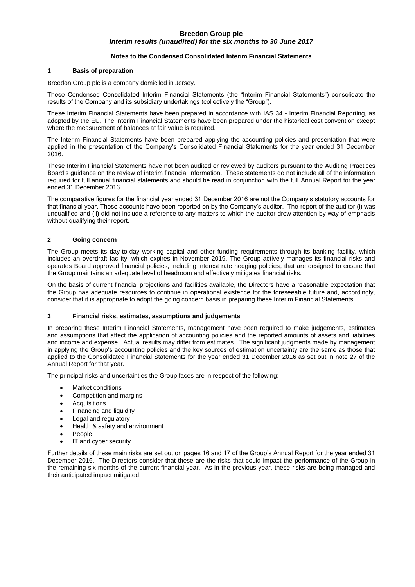### **Notes to the Condensed Consolidated Interim Financial Statements**

#### **1 Basis of preparation**

Breedon Group plc is a company domiciled in Jersey.

These Condensed Consolidated Interim Financial Statements (the "Interim Financial Statements") consolidate the results of the Company and its subsidiary undertakings (collectively the "Group").

These Interim Financial Statements have been prepared in accordance with IAS 34 - Interim Financial Reporting, as adopted by the EU. The Interim Financial Statements have been prepared under the historical cost convention except where the measurement of balances at fair value is required.

The Interim Financial Statements have been prepared applying the accounting policies and presentation that were applied in the presentation of the Company's Consolidated Financial Statements for the year ended 31 December 2016.

These Interim Financial Statements have not been audited or reviewed by auditors pursuant to the Auditing Practices Board's guidance on the review of interim financial information. These statements do not include all of the information required for full annual financial statements and should be read in conjunction with the full Annual Report for the year ended 31 December 2016.

The comparative figures for the financial year ended 31 December 2016 are not the Company's statutory accounts for that financial year. Those accounts have been reported on by the Company's auditor. The report of the auditor (i) was unqualified and (ii) did not include a reference to any matters to which the auditor drew attention by way of emphasis without qualifying their report.

### **2 Going concern**

The Group meets its day-to-day working capital and other funding requirements through its banking facility, which includes an overdraft facility, which expires in November 2019. The Group actively manages its financial risks and operates Board approved financial policies, including interest rate hedging policies, that are designed to ensure that the Group maintains an adequate level of headroom and effectively mitigates financial risks.

On the basis of current financial projections and facilities available, the Directors have a reasonable expectation that the Group has adequate resources to continue in operational existence for the foreseeable future and, accordingly, consider that it is appropriate to adopt the going concern basis in preparing these Interim Financial Statements.

### **3 Financial risks, estimates, assumptions and judgements**

In preparing these Interim Financial Statements, management have been required to make judgements, estimates and assumptions that affect the application of accounting policies and the reported amounts of assets and liabilities and income and expense. Actual results may differ from estimates. The significant judgments made by management in applying the Group's accounting policies and the key sources of estimation uncertainty are the same as those that applied to the Consolidated Financial Statements for the year ended 31 December 2016 as set out in note 27 of the Annual Report for that year.

The principal risks and uncertainties the Group faces are in respect of the following:

- Market conditions
- Competition and margins
- Acquisitions
- Financing and liquidity
- Legal and regulatory
- Health & safety and environment
- People
- IT and cyber security

Further details of these main risks are set out on pages 16 and 17 of the Group's Annual Report for the year ended 31 December 2016. The Directors consider that these are the risks that could impact the performance of the Group in the remaining six months of the current financial year. As in the previous year, these risks are being managed and their anticipated impact mitigated.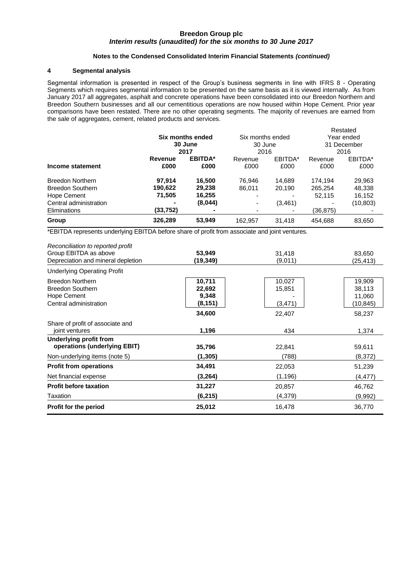### **Notes to the Condensed Consolidated Interim Financial Statements** *(continued)*

### **4 Segmental analysis**

Segmental information is presented in respect of the Group's business segments in line with IFRS 8 - Operating Segments which requires segmental information to be presented on the same basis as it is viewed internally. As from January 2017 all aggregates, asphalt and concrete operations have been consolidated into our Breedon Northern and Breedon Southern businesses and all our cementitious operations are now housed within Hope Cement. Prior year comparisons have been restated. There are no other operating segments. The majority of revenues are earned from the sale of aggregates, cement, related products and services.

Restated

|                         |                |                  |         |                  |          | Residied    |
|-------------------------|----------------|------------------|---------|------------------|----------|-------------|
|                         |                | Six months ended |         | Six months ended |          | Year ended  |
|                         |                | 30 June          | 30 June |                  |          | 31 December |
|                         |                | 2017             | 2016    |                  |          | 2016        |
|                         | Revenue        | <b>EBITDA*</b>   | Revenue | EBITDA*          | Revenue  | EBITDA*     |
| Income statement        | £000           | £000             | £000    | £000             | £000     | £000        |
| <b>Breedon Northern</b> | 97.914         | 16.500           | 76.946  | 14.689           | 174.194  | 29,963      |
| <b>Breedon Southern</b> | 190.622        | 29,238           | 86.011  | 20.190           | 265,254  | 48,338      |
| Hope Cement             | 71,505         | 16,255           |         |                  | 52.115   | 16,152      |
| Central administration  | $\blacksquare$ | (8,044)          |         | (3, 461)         |          | (10,803)    |
| Eliminations            | (33, 752)      |                  |         |                  | (36,875) |             |
| Group                   | 326,289        | 53,949           | 162.957 | 31.418           | 454.688  | 83,650      |

\*EBITDA represents underlying EBITDA before share of profit from associate and joint ventures.

| Reconciliation to reported profit  |          |          |          |
|------------------------------------|----------|----------|----------|
| Group EBITDA as above              | 53,949   | 31,418   | 83,650   |
| Depreciation and mineral depletion | (19,349) | (9,011)  | (25,413) |
| <b>Underlying Operating Profit</b> |          |          |          |
| <b>Breedon Northern</b>            | 10,711   | 10,027   | 19,909   |
| <b>Breedon Southern</b>            | 22,692   | 15,851   | 38,113   |
| Hope Cement                        | 9,348    |          | 11,060   |
| Central administration             | (8, 151) | (3, 471) | (10,845) |
|                                    | 34,600   | 22,407   | 58,237   |
| Share of profit of associate and   |          |          |          |
| joint ventures                     | 1,196    | 434      | 1,374    |
| <b>Underlying profit from</b>      |          |          |          |
| operations (underlying EBIT)       | 35,796   | 22,841   | 59,611   |
| Non-underlying items (note 5)      | (1,305)  | (788)    | (8,372)  |
| <b>Profit from operations</b>      | 34,491   | 22,053   | 51,239   |
| Net financial expense              | (3,264)  | (1, 196) | (4,477)  |
| <b>Profit before taxation</b>      | 31,227   | 20,857   | 46,762   |
| Taxation                           | (6,215)  | (4, 379) | (9,992)  |
| Profit for the period              | 25,012   | 16,478   | 36,770   |
|                                    |          |          |          |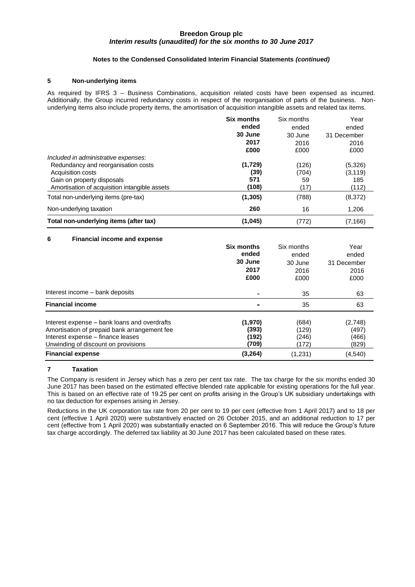### **Notes to the Condensed Consolidated Interim Financial Statements** *(continued)*

### **5 Non-underlying items**

As required by IFRS 3 – Business Combinations, acquisition related costs have been expensed as incurred. Additionally, the Group incurred redundancy costs in respect of the reorganisation of parts of the business. Nonunderlying items also include property items, the amortisation of acquisition intangible assets and related tax items.

|                                               | <b>Six months</b> | Six months | Year        |
|-----------------------------------------------|-------------------|------------|-------------|
|                                               | ended             | ended      | ended       |
|                                               | 30 June           | 30 June    | 31 December |
|                                               | 2017              | 2016       | 2016        |
|                                               | £000              | £000       | £000        |
| Included in administrative expenses:          |                   |            |             |
| Redundancy and reorganisation costs           | (1,729)           | (126)      | (5,326)     |
| Acquisition costs                             | (39)              | (704)      | (3, 119)    |
| Gain on property disposals                    | 571               | 59         | 185         |
| Amortisation of acquisition intangible assets | (108)             | (17)       | (112)       |
| Total non-underlying items (pre-tax)          | (1, 305)          | (788)      | (8,372)     |
| Non-underlying taxation                       | 260               | 16         | 1,206       |
| Total non-underlying items (after tax)        | (1,045)           | (772)      | (7, 166)    |

#### **6 Financial income and expense**

|                                                                                                                                                                          | <b>Six months</b><br>ended<br>30 June<br>2017<br>£000 | Six months<br>ended<br>30 June<br>2016<br>£000 | Year<br>ended<br>31 December<br>2016<br>£000 |
|--------------------------------------------------------------------------------------------------------------------------------------------------------------------------|-------------------------------------------------------|------------------------------------------------|----------------------------------------------|
| Interest income – bank deposits                                                                                                                                          | $\blacksquare$                                        | 35                                             | 63                                           |
| <b>Financial income</b>                                                                                                                                                  |                                                       | 35                                             | 63                                           |
| Interest expense – bank loans and overdrafts<br>Amortisation of prepaid bank arrangement fee<br>Interest expense – finance leases<br>Unwinding of discount on provisions | (1,970)<br>(393)<br>(192)<br>(709)                    | (684)<br>(129)<br>(246)<br>(172)               | (2,748)<br>(497)<br>(466)<br>(829)           |
| <b>Financial expense</b>                                                                                                                                                 | (3,264)                                               | (1,231)                                        | (4,540)                                      |

## **7 Taxation**

The Company is resident in Jersey which has a zero per cent tax rate. The tax charge for the six months ended 30 June 2017 has been based on the estimated effective blended rate applicable for existing operations for the full year. This is based on an effective rate of 19.25 per cent on profits arising in the Group's UK subsidiary undertakings with no tax deduction for expenses arising in Jersey.

Reductions in the UK corporation tax rate from 20 per cent to 19 per cent (effective from 1 April 2017) and to 18 per cent (effective 1 April 2020) were substantively enacted on 26 October 2015, and an additional reduction to 17 per cent (effective from 1 April 2020) was substantially enacted on 6 September 2016. This will reduce the Group's future tax charge accordingly. The deferred tax liability at 30 June 2017 has been calculated based on these rates.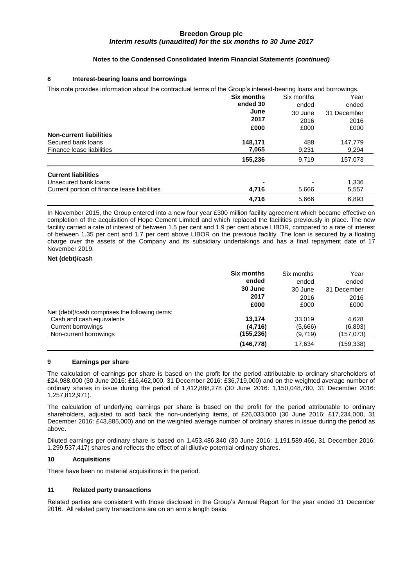## **Notes to the Condensed Consolidated Interim Financial Statements** *(continued)*

### **8 Interest-bearing loans and borrowings**

| This note provides information about the contractual terms of the Group's interest-bearing loans and borrowings. |                        |                                                |                                              |
|------------------------------------------------------------------------------------------------------------------|------------------------|------------------------------------------------|----------------------------------------------|
|                                                                                                                  | Six months<br>ended 30 | Six months<br>ended<br>30 June<br>2016<br>£000 | Year<br>ended<br>31 December<br>2016<br>£000 |
|                                                                                                                  |                        |                                                |                                              |
|                                                                                                                  | 2017                   |                                                |                                              |
|                                                                                                                  |                        |                                                |                                              |
| <b>Non-current liabilities</b>                                                                                   |                        |                                                |                                              |
| Secured bank loans                                                                                               | 148,171                |                                                |                                              |
| Finance lease liabilities                                                                                        | 7,065                  | 9,231                                          | 9,294                                        |
|                                                                                                                  | 155,236                | 9.719                                          | 157,073                                      |
| <b>Current liabilities</b>                                                                                       |                        |                                                |                                              |
| Unsecured bank loans                                                                                             |                        |                                                | 1,336                                        |
| Current portion of finance lease liabilities                                                                     | 4,716                  | 5,666                                          | 5,557                                        |
|                                                                                                                  | 4.716                  | 5.666                                          | 6,893                                        |

In November 2015, the Group entered into a new four year £300 million facility agreement which became effective on completion of the acquisition of Hope Cement Limited and which replaced the facilities previously in place. The new facility carried a rate of interest of between 1.5 per cent and 1.9 per cent above LIBOR, compared to a rate of interest of between 1.35 per cent and 1.7 per cent above LIBOR on the previous facility. The loan is secured by a floating charge over the assets of the Company and its subsidiary undertakings and has a final repayment date of 17 November 2019.

#### **Net (debt)/cash**

|                                                | <b>Six months</b><br>ended<br>30 June | Six months<br>ended | Year<br>ended       |
|------------------------------------------------|---------------------------------------|---------------------|---------------------|
|                                                | 2017                                  | 30 June<br>2016     | 31 December<br>2016 |
|                                                | £000                                  | £000                | £000                |
| Net (debt)/cash comprises the following items: |                                       |                     |                     |
| Cash and cash equivalents                      | 13.174                                | 33.019              | 4.628               |
| Current borrowings                             | (4,716)                               | (5,666)             | (6,893)             |
| Non-current borrowings                         | (155, 236)                            | (9,719)             | (157,073)           |
|                                                | (146, 778)                            | 17.634              | (159, 338)          |

#### **9 Earnings per share**

The calculation of earnings per share is based on the profit for the period attributable to ordinary shareholders of £24,988,000 (30 June 2016: £16,462,000, 31 December 2016: £36,719,000) and on the weighted average number of ordinary shares in issue during the period of 1,412,888,278 (30 June 2016: 1,150,048,780, 31 December 2016: 1,257,812,971).

The calculation of underlying earnings per share is based on the profit for the period attributable to ordinary shareholders, adjusted to add back the non-underlying items, of £26,033,000 (30 June 2016: £17,234,000, 31 December 2016: £43,885,000) and on the weighted average number of ordinary shares in issue during the period as above.

Diluted earnings per ordinary share is based on 1,453,486,340 (30 June 2016: 1,191,589,466, 31 December 2016: 1,299,537,417) shares and reflects the effect of all dilutive potential ordinary shares.

#### **10 Acquisitions**

There have been no material acquisitions in the period.

#### **11 Related party transactions**

Related parties are consistent with those disclosed in the Group's Annual Report for the year ended 31 December 2016. All related party transactions are on an arm's length basis.